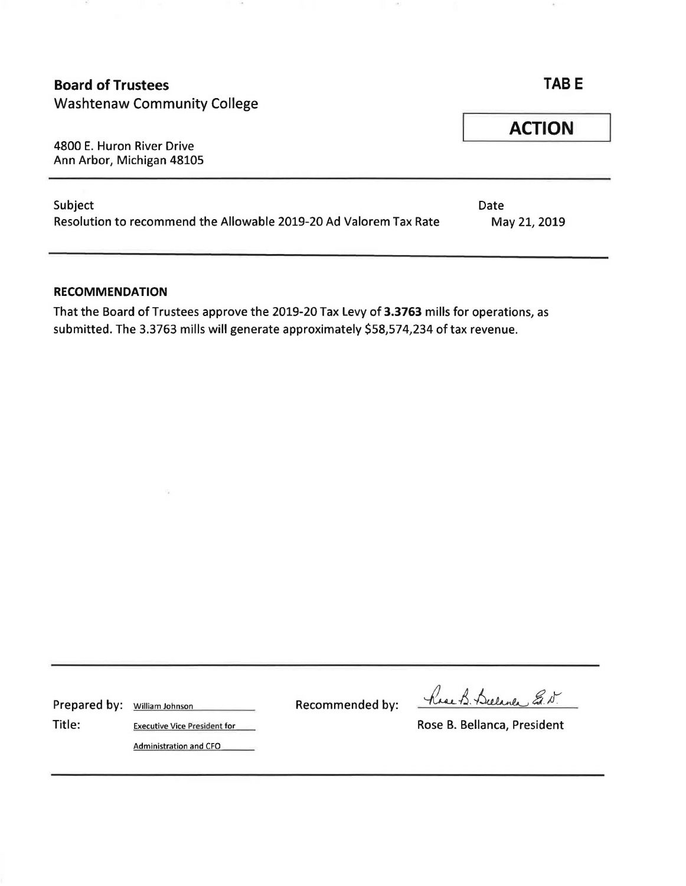| <b>Board of Trustees</b><br><b>Washtenaw Community College</b>               | <b>TABE</b>          |  |
|------------------------------------------------------------------------------|----------------------|--|
| 4800 E. Huron River Drive<br>Ann Arbor, Michigan 48105                       | <b>ACTION</b>        |  |
| Subject<br>Resolution to recommend the Allowable 2019-20 Ad Valorem Tax Rate | Date<br>May 21, 2019 |  |

## **RECOMMENDATION**

That the Board of Trustees approve the 2019-20 Tax Levy of **3.3763** mills for operations, as submitted. The 3.3763 mills will generate approximately \$58,574,234 of tax revenue.

Prepared by: William Johnson Recommended by:

Rose B. Bulance E. D.

Title: Executive Vice President for Example 2014 11: Rose B. Bellanca, President

Administration and CFO

Va